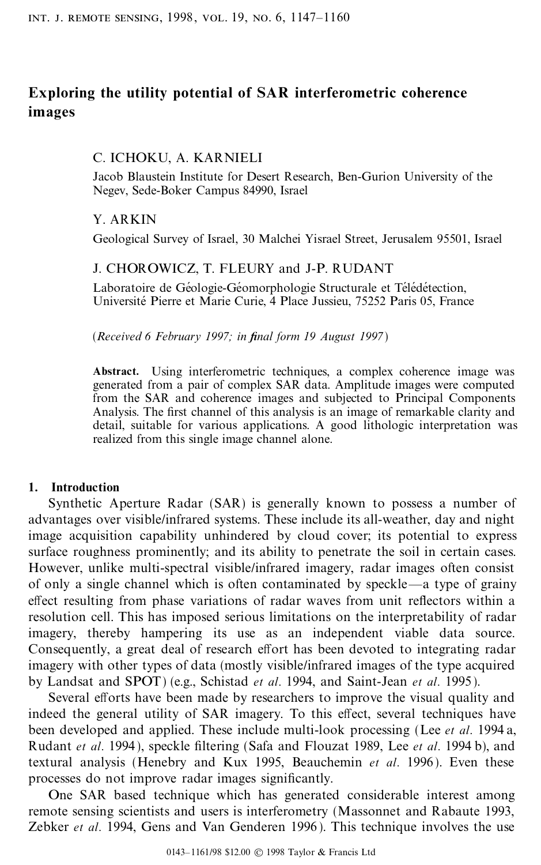# **Exploring the utility potential of SAR interferometric coherence images**

### C. ICHOKU, A. KARNIELI

Jacob Blaustein Institute for Desert Research, Ben-Gurion University of the Negev, Sede-Boker Campus 84990, Israel

### Y. ARKIN

Geological Survey of Israel, 30 Malchei Yisrael Street, Jerusalem 95501, Israel

### J. CHOROWICZ, T. FLEURY and J-P. RUDANT

Laboratoire de Géologie-Géomorphologie Structurale et Télédétection, Université Pierre et Marie Curie, 4 Place Jussieu, 75252 Paris 05, France

(*Received 6 February 1997; in ®nal form 19 August 1997*)

**Abstract.** Using interferometric techniques, a complex coherence image was generated from a pair of complex SAR data. Amplitude images were computed from the SAR and coherence images and subjected to Principal Components Analysis. The first channel of this analysis is an image of remarkable clarity and detail, suitable for various applications. A good lithologic interpretation was realized from this single image channel alone.

### **1. Introduction**

Synthetic Aperture Radar (SAR) is generally known to possess a number of advantages over visible/infrared systems. These include its all-weather, day and night image acquisition capability unhindered by cloud cover; its potential to express surface roughness prominently; and its ability to penetrate the soil in certain cases. However, unlike multi-spectral visible/infrared imagery, radar images often consist of only a single channel which is often contaminated by speckle—a type of grainy effect resulting from phase variations of radar waves from unit reflectors within a resolution cell. This has imposed serious limitations on the interpretability of radar imagery, thereby hampering its use as an independent viable data source. Consequently, a great deal of research effort has been devoted to integrating radar imagery with other types of data (mostly visible/infrared images of the type acquired by Landsat and SPOT) (e.g., Schistad *et al*. 1994, and Saint-Jean *et al*. 1995).

Several efforts have been made by researchers to improve the visual quality and indeed the general utility of SAR imagery. To this effect, several techniques have been developed and applied. These include multi-look processing (Lee *et al*. 1994 a, Rudant *et al.* 1994), speckle filtering (Safa and Flouzat 1989, Lee *et al.* 1994 b), and textural analysis (Henebry and Kux 1995, Beauchemin *et al*. 1996). Even these processes do not improve radar images significantly.

One SAR based technique which has generated considerable interest among remote sensing scientists and users is interferometry (Massonnet and Rabaute 1993, Zebker *et al*. 1994, Gens and Van Genderen 1996 ). This technique involves the use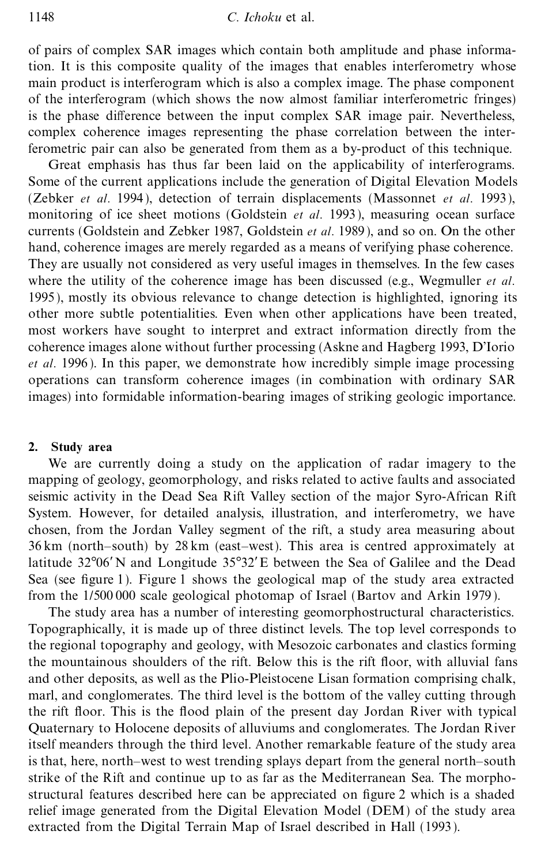of pairs of complex SAR images which contain both amplitude and phase information. It is this composite quality of the images that enables interferometry whose main product is interferogram which is also a complex image. The phase component of the interferogram (which shows the now almost familiar interferometric fringes) is the phase difference between the input complex SAR image pair. Nevertheless, complex coherence images representing the phase correlation between the interferometric pair can also be generated from them as a by-product of this technique.

Great emphasis has thus far been laid on the applicability of interferograms. Some of the current applications include the generation of Digital Elevation Models (Zebker *et al*. 1994 ), detection of terrain displacements (Massonnet *et al*. 1993), monitoring of ice sheet motions (Goldstein *et al*. 1993), measuring ocean surface currents (Goldstein and Zebker 1987, Goldstein *et al*. 1989), and so on. On the other hand, coherence images are merely regarded as a means of verifying phase coherence. They are usually not considered as very useful images in themselves. In the few cases where the utility of the coherence image has been discussed (e.g., Wegmuller *et al*. 1995), mostly its obvious relevance to change detection is highlighted, ignoring its other more subtle potentialities. Even when other applications have been treated, most workers have sought to interpret and extract information directly from the coherence images alone without further processing (Askne and Hagberg 1993, D'Iorio *et al*. 1996 ). In this paper, we demonstrate how incredibly simple image processing operations can transform coherence images (in combination with ordinary SAR images) into formidable information-bearing images of striking geologic importance.

# **2. Study area**

We are currently doing a study on the application of radar imagery to the mapping of geology, geomorphology, and risks related to active faults and associated seismic activity in the Dead Sea Rift Valley section of the major Syro-African Rift System. However, for detailed analysis, illustration, and interferometry, we have chosen, from the Jordan Valley segment of the rift, a study area measuring about  $36 \text{ km}$  (north-south) by  $28 \text{ km}$  (east-west). This area is centred approximately at latitude 32°06'N and Longitude 35°32'E between the Sea of Galilee and the Dead Sea (see figure 1). Figure 1 shows the geological map of the study area extracted from the 1/500 000 scale geological photomap of Israel (Bartov and Arkin 1979 ).

The study area has a number of interesting geomorphostructural characteristics. Topographically, it is made up of three distinct levels. The top level corresponds to the regional topography and geology, with Mesozoic carbonates and clastics forming the mountainous shoulders of the rift. Below this is the rift floor, with alluvial fans and other deposits, as well as the Plio-Pleistocene Lisan formation comprising chalk, marl, and conglomerates. The third level is the bottom of the valley cutting through the rift floor. This is the flood plain of the present day Jordan River with typical Quaternary to Holocene deposits of alluviums and conglomerates. The Jordan River itself meanders through the third level. Another remarkable feature of the study area is that, here, north-west to west trending splays depart from the general north-south strike of the Rift and continue up to as far as the Mediterranean Sea. The morphostructural features described here can be appreciated on figure 2 which is a shaded relief image generated from the Digital Elevation Model (DEM) of the study area extracted from the Digital Terrain Map of Israel described in Hall (1993).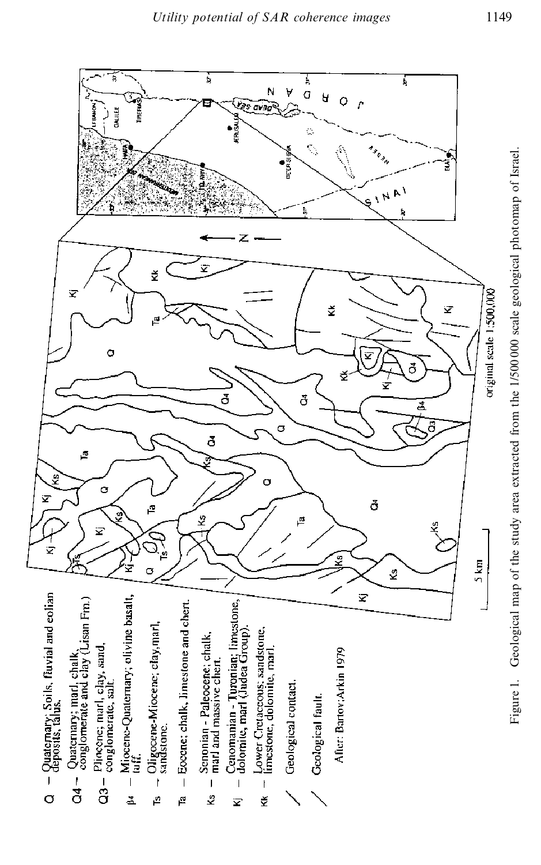

Figure 1. Geological map of the study area extracted from the 1/500000 scale geological photomap of Israel. Figure 1. Geological map of the study area extracted from the 1/500 000 scale geological photomap of Israel.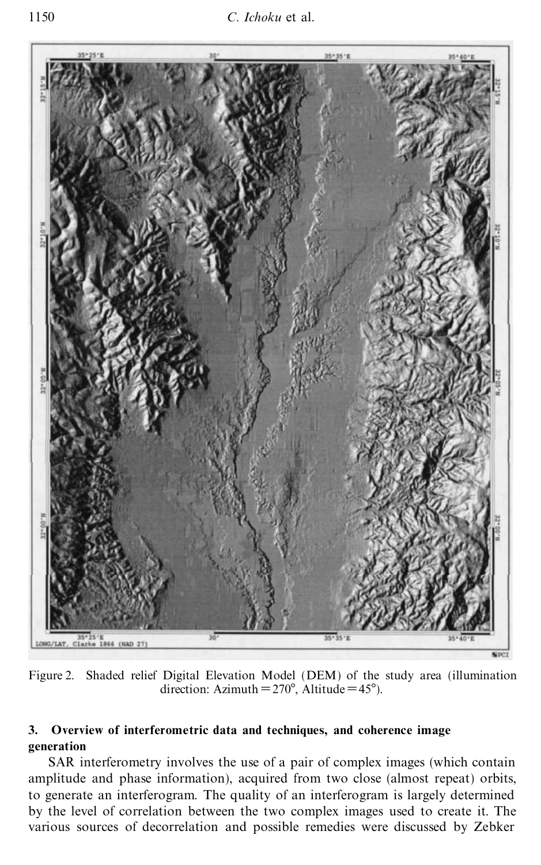

Figure 2. Shaded relief Digital Elevation Model (DEM) of the study area (illumination direction: Azimuth =  $270^\circ$ , Altitude =  $45^\circ$ ).

## **3. Overview of interferometric data and techniques, and coherence image generation**

SAR interferometry involves the use of a pair of complex images (which contain amplitude and phase information), acquired from two close (almost repeat) orbits, to generate an interferogram. The quality of an interferogram is largely determined by the level of correlation between the two complex images used to create it. The various sources of decorrelation and possible remedies were discussed by Zebker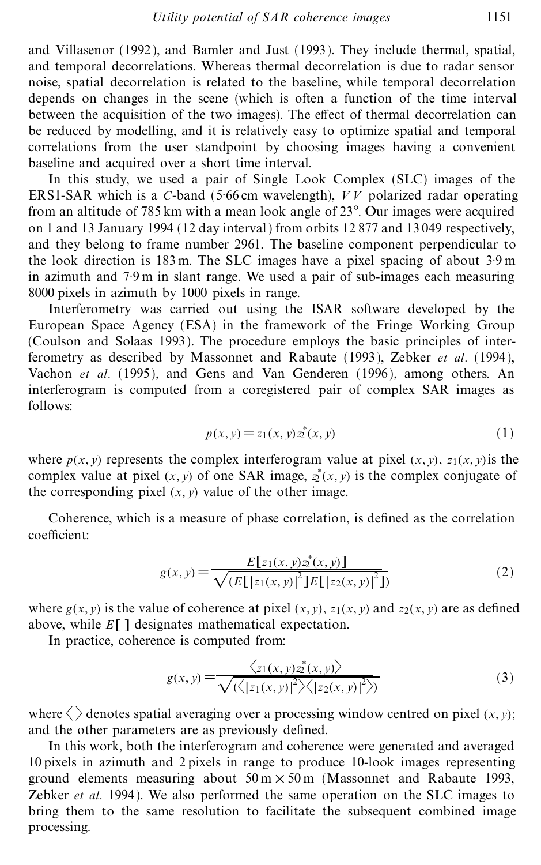and Villasenor (1992 ), and Bamler and Just (1993). They include thermal, spatial, and temporal decorrelations. Whereas thermal decorrelation is due to radar sensor noise, spatial decorrelation is related to the baseline, while temporal decorrelation depends on changes in the scene (which is often a function of the time interval between the acquisition of the two images). The effect of thermal decorrelation can be reduced by modelling, and it is relatively easy to optimize spatial and temporal correlations from the user standpoint by choosing images having a convenient baseline and acquired over a short time interval.

In this study, we used a pair of Single Look Complex (SLC) images of the ERS1-SAR which is a *C*-band (5´66 cm wavelength), *V V* polarized radar operating from an altitude of 785 km with a mean look angle of  $23^\circ$ . Our images were acquired on 1 and 13 January 1994 (12 day interval ) from orbits 12 877 and 13 049 respectively, and they belong to frame number 2961. The baseline component perpendicular to the look direction is 183 m. The SLC images have a pixel spacing of about 3´9 m in azimuth and 7<sup>.9</sup> m in slant range. We used a pair of sub-images each measuring 8000 pixels in azimuth by 1000 pixels in range.

Interferometry was carried out using the ISAR software developed by the European Space Agency (ESA) in the framework of the Fringe Working Group (Coulson and Solaas 1993). The procedure employs the basic principles of interferometry as described by Massonnet and Rabaute (1993), Zebker *et al*. (1994), Vachon *et al*. (1995), and Gens and Van Genderen (1996), among others. An interferogram is computed from a coregistered pair of complex SAR images as follows:

$$
p(x, y) = z_1(x, y) z_2^*(x, y)
$$
 (1)

where  $p(x, y)$  represents the complex interferogram value at pixel  $(x, y)$ ,  $z_1(x, y)$  is the complex value at pixel  $(x, y)$  of one SAR image,  $z^*(x, y)$  is the complex conjugate of the corresponding pixel  $(x, y)$  value of the other image.

Coherence, which is a measure of phase correlation, is defined as the correlation coefficient:

$$
g(x, y) = \frac{E[z_1(x, y)z^*(x, y)]}{\sqrt{(E[[z_1(x, y)]^2]E[[z_2(x, y)]^2]})}
$$
(2)

where  $g(x, y)$  is the value of coherence at pixel  $(x, y)$ ,  $z_1(x, y)$  and  $z_2(x, y)$  are as defined above, while *E*[ ] designates mathematical expectation.

In practice, coherence is computed from:

$$
g(x, y) = \frac{\langle z_1(x, y)z_1^*(x, y) \rangle}{\sqrt{\langle \langle |z_1(x, y)|^2 \rangle \langle |z_2(x, y)|^2 \rangle}}
$$
(3)

where  $\langle \rangle$  denotes spatial averaging over a processing window centred on pixel  $(x, y)$ ; and the other parameters are as previously defined.

In this work, both the interferogram and coherence were generated and averaged 10 pixels in azimuth and 2 pixels in range to produce 10-look images representing ground elements measuring about  $50 \text{ m} \times 50 \text{ m}$  (Massonnet and Rabaute 1993, Zebker *et al*. 1994). We also performed the same operation on the SLC images to bring them to the same resolution to facilitate the subsequent combined image processing.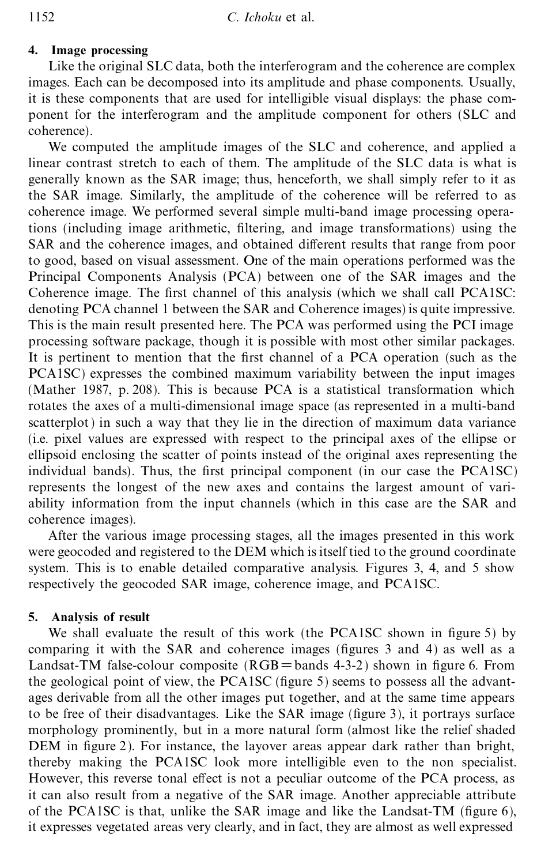## **4. Image processing**

Like the original SLC data, both the interferogram and the coherence are complex images. Each can be decomposed into its amplitude and phase components. Usually, it is these components that are used for intelligible visual displays: the phase component for the interferogram and the amplitude component for others (SLC and coherence).

We computed the amplitude images of the SLC and coherence, and applied a linear contrast stretch to each of them. The amplitude of the SLC data is what is generally known as the SAR image; thus, henceforth, we shall simply refer to it as the SAR image. Similarly, the amplitude of the coherence will be referred to as coherence image. We performed several simple multi-band image processing operations (including image arithmetic, filtering, and image transformations) using the SAR and the coherence images, and obtained different results that range from poor to good, based on visual assessment. One of the main operations performed was the Principal Components Analysis (PCA) between one of the SAR images and the Coherence image. The first channel of this analysis (which we shall call PCA1SC: denoting PCA channel 1 between the SAR and Coherence images) is quite impressive. This is the main result presented here. The PCA was performed using the PCI image processing software package, though it is possible with most other similar packages. It is pertinent to mention that the first channel of a PCA operation (such as the PCA1SC) expresses the combined maximum variability between the input images (Mather 1987, p. 208). This is because PCA is a statistical transformation which rotates the axes of a multi-dimensional image space (as represented in a multi-band scatterplot) in such a way that they lie in the direction of maximum data variance (i.e. pixel values are expressed with respect to the principal axes of the ellipse or ellipsoid enclosing the scatter of points instead of the original axes representing the individual bands). Thus, the first principal component (in our case the PCA1SC) represents the longest of the new axes and contains the largest amount of variability information from the input channels (which in this case are the SAR and coherence images).

After the various image processing stages, all the images presented in this work were geocoded and registered to the DEM which is itself tied to the ground coordinate system. This is to enable detailed comparative analysis. Figures 3, 4, and 5 show respectively the geocoded SAR image, coherence image, and PCA1SC.

### **5. Analysis of result**

We shall evaluate the result of this work (the PCA1SC shown in figure 5) by comparing it with the SAR and coherence images (figures 3 and 4) as well as a Landsat-TM false-colour composite  $(RGB=bands 4-3-2)$  shown in figure 6. From the geological point of view, the PCA1SC (figure 5) seems to possess all the advantages derivable from all the other images put together, and at the same time appears to be free of their disadvantages. Like the SAR image (figure 3), it portrays surface morphology prominently, but in a more natural form (almost like the relief shaded  $DEM$  in figure 2). For instance, the layover areas appear dark rather than bright, thereby making the PCA1SC look more intelligible even to the non specialist. However, this reverse tonal effect is not a peculiar outcome of the PCA process, as it can also result from a negative of the SAR image. Another appreciable attribute of the PCA1SC is that, unlike the SAR image and like the Landsat-TM (figure  $6$ ), it expresses vegetated areas very clearly, and in fact, they are almost as well expressed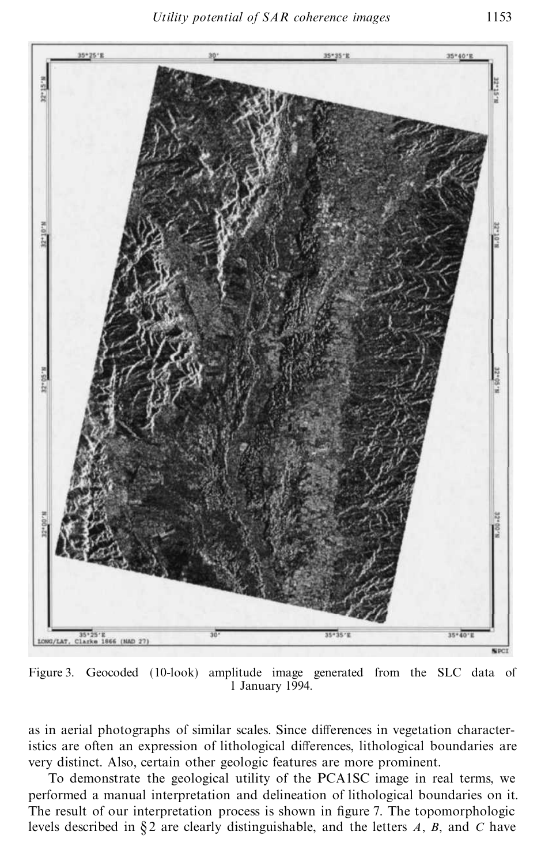

Figure 3. Geocoded (10-look) amplitude image generated from the SLC data of 1 January 1994.

as in aerial photographs of similar scales. Since differences in vegetation characteristics are often an expression of lithological differences, lithological boundaries are very distinct. Also, certain other geologic features are more prominent.

To demonstrate the geological utility of the PCA1SC image in real terms, we performed a manual interpretation and delineation of lithological boundaries on it. The result of our interpretation process is shown in figure 7. The topomorphologic levels described in § 2 are clearly distinguishable, and the letters *A*, *B*, and *C* have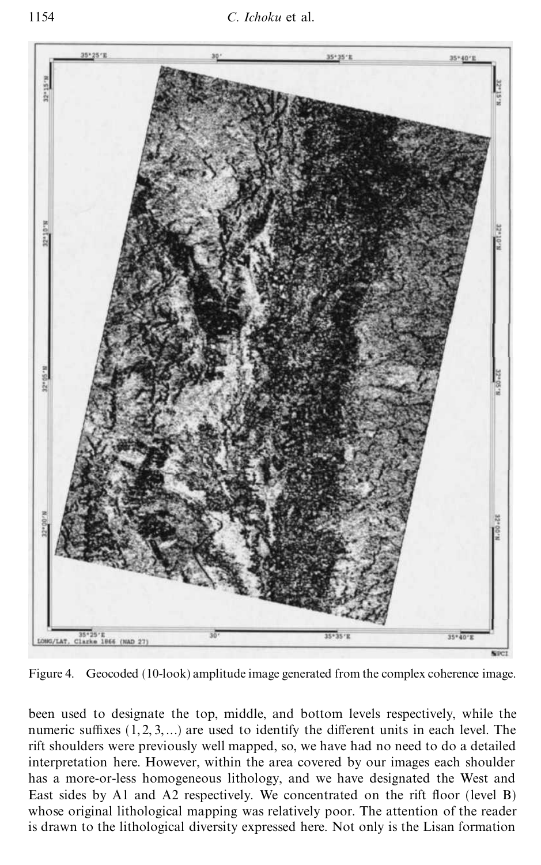

Figure 4. Geocoded (10-look) amplitude image generated from the complex coherence image.

been used to designate the top, middle, and bottom levels respectively, while the numeric suffixes  $(1, 2, 3, ...)$  are used to identify the different units in each level. The rift shoulders were previously well mapped, so, we have had no need to do a detailed interpretation here. However, within the area covered by our images each shoulder has a more-or-less homogeneous lithology, and we have designated the West and East sides by A1 and A2 respectively. We concentrated on the rift floor (level B) whose original lithological mapping was relatively poor. The attention of the reader is drawn to the lithological diversity expressed here. Not only is the Lisan formation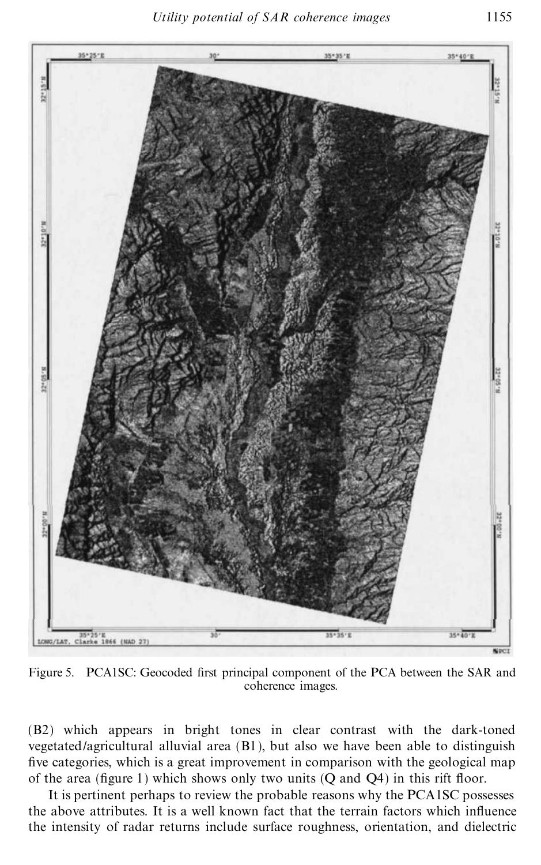

Figure 5. PCA1SC: Geocoded first principal component of the PCA between the SAR and coherence images.

(B2) which appears in bright tones in clear contrast with the dark-toned vegetated/agricultural alluvial area (B1), but also we have been able to distinguish five categories, which is a great improvement in comparison with the geological map of the area (figure 1) which shows only two units  $(Q \text{ and } Q4)$  in this rift floor.

It is pertinent perhaps to review the probable reasons why the PCA1SC possesses the above attributes. It is a well known fact that the terrain factors which influence the intensity of radar returns include surface roughness, orientation, and dielectric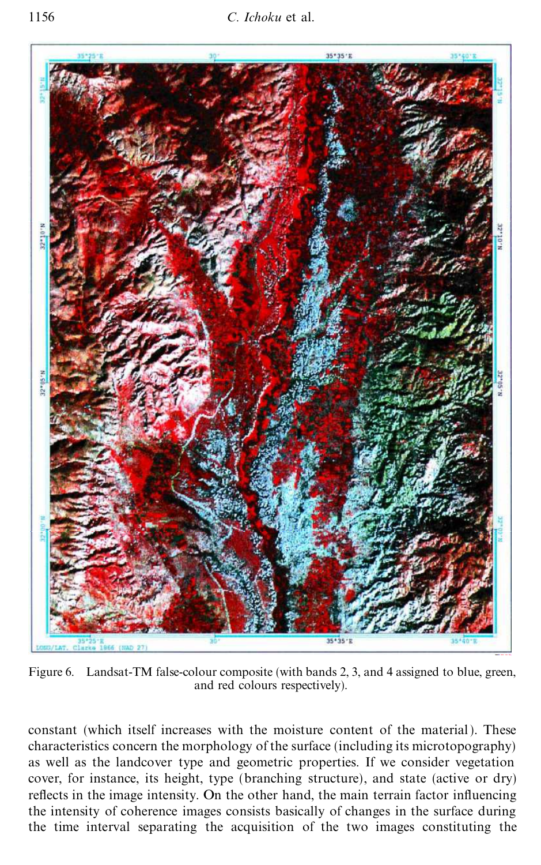

Figure 6. Landsat-TM false-colour composite (with bands 2, 3, and 4 assigned to blue, green, and red colours respectively).

constant (which itself increases with the moisture content of the material ). These characteristics concern the morphology of the surface (including its microtopography) as well as the landcover type and geometric properties. If we consider vegetation cover, for instance, its height, type (branching structure), and state (active or dry) reflects in the image intensity. On the other hand, the main terrain factor influencing the intensity of coherence images consists basically of changes in the surface during the time interval separating the acquisition of the two images constituting the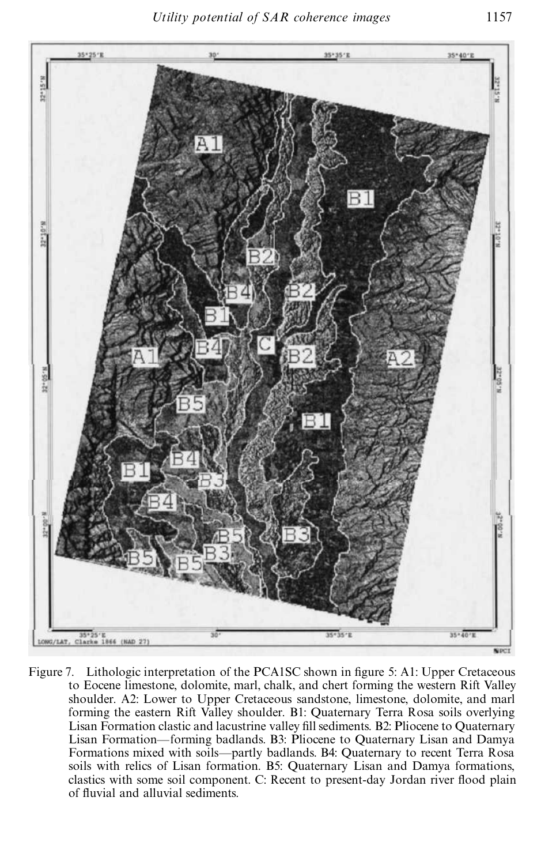

Figure 7. Lithologic interpretation of the PCA1SC shown in figure 5: A1: Upper Cretaceous to Eocene limestone, dolomite, marl, chalk, and chert forming the western Rift Valley shoulder. A2: Lower to Upper Cretaceous sandstone, limestone, dolomite, and marl forming the eastern Rift Valley shoulder. B1: Quaternary Terra Rosa soils overlying Lisan Formation clastic and lacustrine valley fill sediments. B2: Pliocene to Quaternary Lisan Formation–forming badlands. B3: Pliocene to Quaternary Lisan and Damya Formations mixed with soils—partly badlands. B4: Quaternary to recent Terra Rosa soils with relics of Lisan formation. B5: Quaternary Lisan and Damya formations, clastics with some soil component. C: Recent to present-day Jordan river flood plain of fluvial and alluvial sediments.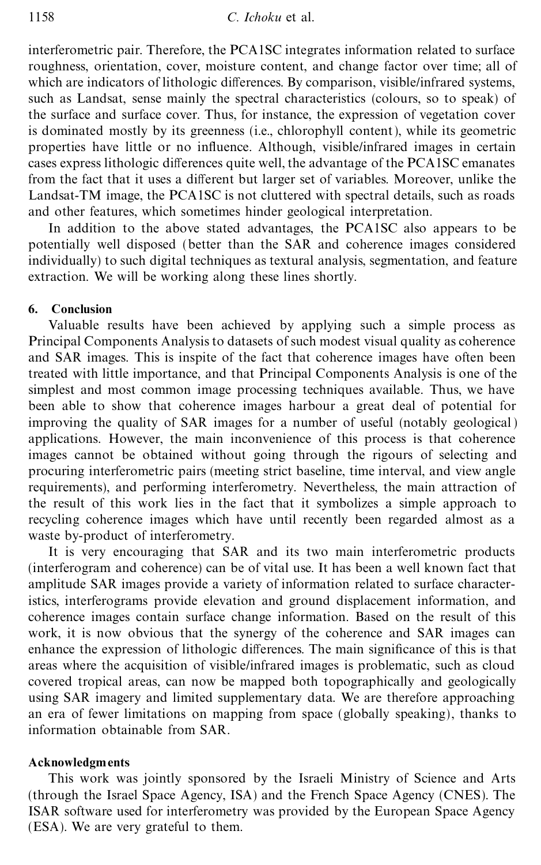interferometric pair. Therefore, the PCA1SC integrates information related to surface roughness, orientation, cover, moisture content, and change factor over time; all of which are indicators of lithologic differences. By comparison, visible/infrared systems, such as Landsat, sense mainly the spectral characteristics (colours, so to speak) of the surface and surface cover. Thus, for instance, the expression of vegetation cover is dominated mostly by its greenness (i.e., chlorophyll content), while its geometric properties have little or no influence. Although, visible/infrared images in certain cases express lithologic differences quite well, the advantage of the PCA1SC emanates from the fact that it uses a different but larger set of variables. Moreover, unlike the Landsat-TM image, the PCA1SC is not cluttered with spectral details, such as roads and other features, which sometimes hinder geological interpretation.

In addition to the above stated advantages, the PCA1SC also appears to be potentially well disposed (better than the SAR and coherence images considered individually) to such digital techniques as textural analysis, segmentation, and feature extraction. We will be working along these lines shortly.

## **6. Conclusion**

Valuable results have been achieved by applying such a simple process as Principal Components Analysis to datasets of such modest visual quality as coherence and SAR images. This is inspite of the fact that coherence images have often been treated with little importance, and that Principal Components Analysis is one of the simplest and most common image processing techniques available. Thus, we have been able to show that coherence images harbour a great deal of potential for improving the quality of SAR images for a number of useful (notably geological) applications. However, the main inconvenience of this process is that coherence images cannot be obtained without going through the rigours of selecting and procuring interferometric pairs (meeting strict baseline, time interval, and view angle requirements), and performing interferometry. Nevertheless, the main attraction of the result of this work lies in the fact that it symbolizes a simple approach to recycling coherence images which have until recently been regarded almost as a waste by-product of interferometry.

It is very encouraging that SAR and its two main interferometric products (interferogram and coherence) can be of vital use. It has been a well known fact that amplitude SAR images provide a variety of information related to surface characteristics, interferograms provide elevation and ground displacement information, and coherence images contain surface change information. Based on the result of this work, it is now obvious that the synergy of the coherence and SAR images can enhance the expression of lithologic differences. The main significance of this is that areas where the acquisition of visible/infrared images is problematic, such as cloud covered tropical areas, can now be mapped both topographically and geologically using SAR imagery and limited supplementary data. We are therefore approaching an era of fewer limitations on mapping from space (globally speaking), thanks to information obtainable from SAR.

### **Acknowledgments**

This work was jointly sponsored by the Israeli Ministry of Science and Arts (through the Israel Space Agency, ISA) and the French Space Agency (CNES). The ISAR software used for interferometry was provided by the European Space Agency (ESA). We are very grateful to them.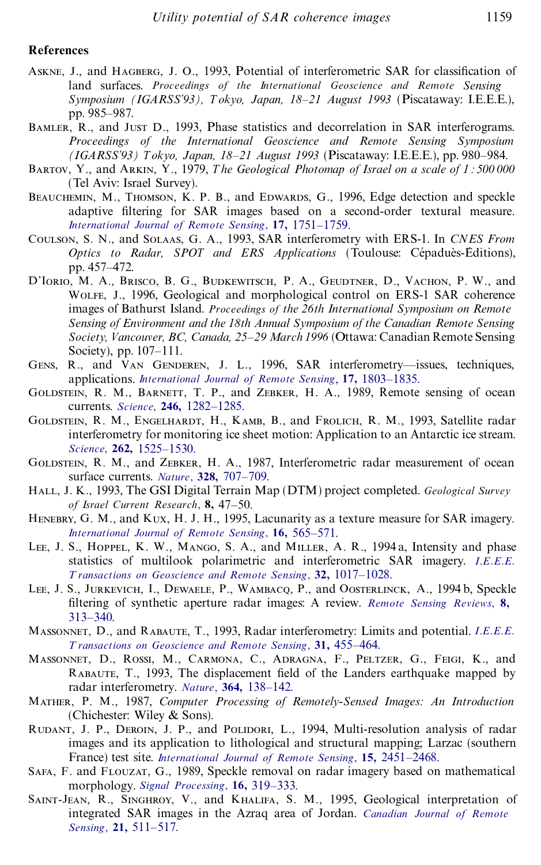#### **References**

- ASKNE, J., and HAGBERG, J. O., 1993, Potential of interferometric SAR for classification of land surfaces. *Proceedings of the International Geoscience and Remote Sensing Symposium (IGARSS'93), T okyo, Japan, 18±21 August 1993* (Piscataway: I.E.E.E.), pp. 985–987.
- Bamler, R., and Just D., 1993, Phase statistics and decorrelation in SAR interferograms. *Proceedings of the International Geoscience and Remote Sensing Symposium (IGARSS'93) T okyo, Japan, 18±21 August 1993* (Piscataway: I.E.E.E.), pp. 980±984.
- Bartov, Y., and Arkin, Y., 1979, *T he Geological Photomap of Israel on a scale of 1 : 500 000* (Tel Aviv: Israel Survey).
- BEAUCHEMIN, M., THOMSON, K. P. B., and EDWARDS, G., 1996, Edge detection and speckle adaptive filtering for SAR images based on a second-order textural measure. *International Journal of Remote Sensing*, **17,** [1751±1759.](http://alidoro.catchword.com/nw=1/rpsv/0143-1161^28^2917L.1751)
- Coulson, S. N., and Solaas, G. A., 1993, SAR interferometry with ERS-1. In *CNES From Optics to Radar, SPOT and ERS Applications* (Toulouse: Cépaduès-Éditions), pp. 457-472.
- D'Iorio, M. A., Brisco, B. G., Budkewitsch, P. A., Geudtner, D., Vachon, P. W., and Wolfe, J., 1996, Geological and morphological control on ERS-1 SAR coherence images of Bathurst Island. *Proceedings of the 26th International Symposium on Remote Sensing of Environment and the 18th Annual Symposium of the Canadian Remote Sensing Society, Vancouver, BC, Canada, 25±29 March 1996* (Ottawa: Canadian Remote Sensing Society), pp. 107-111.
- GENS, R., and VAN GENDEREN, J. L., 1996, SAR interferometry—issues, techniques, applications. *International Journal of Remote Sensing*, 17, 1803-1835.
- GOLDSTEIN, R. M., BARNETT, T. P., and ZEBKER, H. A., 1989, Remote sensing of ocean currents. *Science*, **246**, 1282-1285.
- Goldstein, R. M., Engelhardt, H., Kamb, B., and Frolich, R. M., 1993, Satellite radar interferometry for monitoring ice sheet motion: Application to an Antarctic ice stream. *Science*, **262**, 1525-1530.
- GOLDSTEIN, R. M., and ZEBKER, H. A., 1987, Interferometric radar measurement of ocean surface currents. *Nature*, **328**, 707-709.
- Hall, J. K., 1993, The GSI Digital Terrain Map (DTM) project completed. *Geological Survey of Israel Current Research*, **8,** 47±50.
- Henebry, G. M., and Kux, H. J. H., 1995, Lacunarity as a texture measure for SAR imagery. *[International](http://alidoro.catchword.com/nw=1/rpsv/0143-1161^28^2916L.565) Journal of Remote Sensing*, 16, 565-571.
- LEE, J. S., HOPPEL, K. W., MANGO, S. A., and MILLER, A. R., 1994 a, Intensity and [phase](http://alidoro.catchword.com/nw=1/rpsv/0196-2892^28^2932L.1017) statistics of multilook polarimetric and interferometric SAR imagery. *I*.*E*.*E*.*E*. *T ransactions on Geoscience and Remote Sensing*, **32,** [1017±1028.](http://alidoro.catchword.com/nw=1/rpsv/0196-2892^28^2932L.1017)
- Lee, J. S., Jurkevich, I., Dewaele, P., Wambacq, P., and Oosterlinck, A., 1994 b, Speckle ®ltering of synthetic aperture radar images: A review. *Remote Sensing [Reviews](http://alidoro.catchword.com/nw=1/rpsv/0275-7257^28^298L.313)*, **8,** [313±340.](http://alidoro.catchword.com/nw=1/rpsv/0275-7257^28^298L.313)
- Massonnet, D., and Rabaute, T., 1993, Radar interferometry: Limits and potential. *I*.*[E](http://alidoro.catchword.com/nw=1/rpsv/0196-2892^28^2931L.455[csa=0196-2892^26vol=31^26iss=2^26firstpage=455])*.*E*.*E*. *T ransactions on Geoscience and Remote Sensing*, **31,** [455±464.](http://alidoro.catchword.com/nw=1/rpsv/0196-2892^28^2931L.455[csa=0196-2892^26vol=31^26iss=2^26firstpage=455])
- Massonnet, D., Rossi, M., Carmona, C., Adragna, F., Peltzer, G., Feigi, K., and RABAUTE, T., 1993, The displacement field of the Landers earthquake mapped by radar interferometry. Nature, 364, 138-142.
- Mather, P. M., 1987, *Computer Processing of Remotely-Sensed Images: An Introduction* (Chichester: Wiley & Sons).
- RUDANT, J. P., DEROIN, J. P., and POLIDORI, L., 1994, Multi-resolution analysis of radar images and its application to lithological and structural mapping; Larzac (southern France) test site. *International Journal of Remote Sensing*, 15, 2451-2468.
- Safa, F. and Flouzat, G., 1989, Speckle removal on radar imagery based on mathematical morphology. *Signal Processing*, 16, 319-333.
- SAINT-JEAN, R., SINGHROY, V., and KHALIFA, S. M., 1995, Geological [interpretation](http://alidoro.catchword.com/nw=1/rpsv/0703-8992^28^2921L.511[csa=0703-8992^26vol=21^26iss=4^26firstpage=511]) of integrated SAR images in the Azraq area of Jordan. *Canadian Journal of Remote Sensing*, **21,** 511-517.